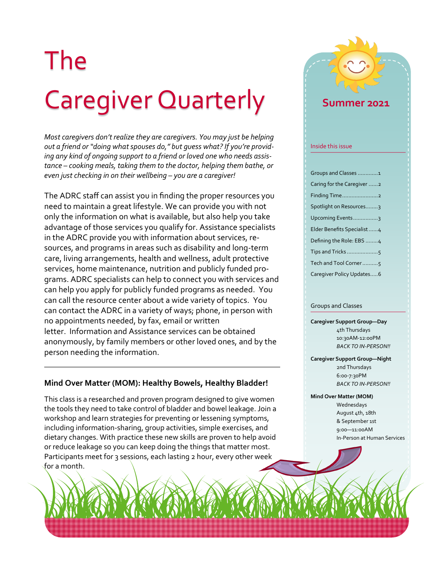# The Caregiver Quarterly

*Most caregivers don't realize they are caregivers. You may just be helping out a friend or "doing what spouses do," but guess what? If you're providing any kind of ongoing support to a friend or loved one who needs assistance – cooking meals, taking them to the doctor, helping them bathe, or even just checking in on their wellbeing – you are a caregiver!* 

The ADRC staff can assist you in finding the proper resources you need to maintain a great lifestyle. We can provide you with not only the information on what is available, but also help you take advantage of those services you qualify for. Assistance specialists in the ADRC provide you with information about services, resources, and programs in areas such as disability and long-term care, living arrangements, health and wellness, adult protective services, home maintenance, nutrition and publicly funded programs. ADRC specialists can help to connect you with services and can help you apply for publicly funded programs as needed. You can call the resource center about a wide variety of topics. You can contact the ADRC in a variety of ways; phone, in person with no appointments needed, by fax, email or written letter. Information and Assistance services can be obtained anonymously, by family members or other loved ones, and by the person needing the information.

#### **Mind Over Matter (MOM): Healthy Bowels, Healthy Bladder!**

This class is a researched and proven program designed to give women the tools they need to take control of bladder and bowel leakage. Join a workshop and learn strategies for preventing or lessening symptoms, including information-sharing, group activities, simple exercises, and dietary changes. With practice these new skills are proven to help avoid or reduce leakage so you can keep doing the things that matter most. Participants meet for 3 sessions, each lasting 2 hour, every other week for a month.



#### Groups and Classes

**Caregiver Support Group—Day**  4th Thursdays 10:30AM-12:00PM *BACK TO IN-PERSON!!*

**Caregiver Support Group—Night**  2nd Thursdays 6:00-7:30PM *BACK TO IN-PERSON!!*

#### **Mind Over Matter (MOM)** Wednesdays August 4th, 18th & September 1st 9:00—11:00AM In-Person at Human Services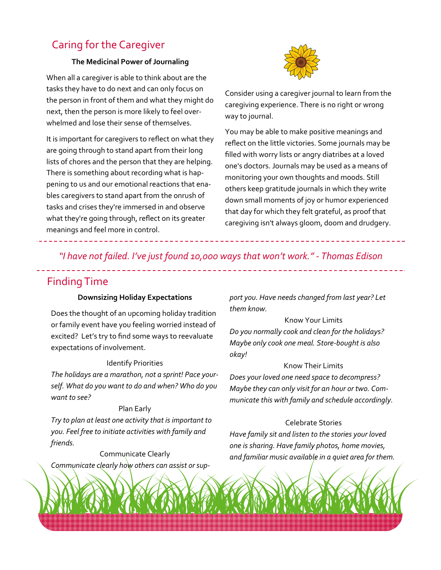# Caring for the Caregiver

#### **The Medicinal Power of Journaling**

When all a caregiver is able to think about are the tasks they have to do next and can only focus on the person in front of them and what they might do next, then the person is more likely to feel overwhelmed and lose their sense of themselves.

It is important for caregivers to reflect on what they are going through to stand apart from their long lists of chores and the person that they are helping. There is something about recording what is happening to us and our emotional reactions that enables caregivers to stand apart from the onrush of tasks and crises they're immersed in and observe what they're going through, reflect on its greater meanings and feel more in control.



Consider using a caregiver journal to learn from the caregiving experience. There is no right or wrong way to journal.

You may be able to make positive meanings and reflect on the little victories. Some journals may be filled with worry lists or angry diatribes at a loved one's doctors. Journals may be used as a means of monitoring your own thoughts and moods. Still others keep gratitude journals in which they write down small moments of joy or humor experienced that day for which they felt grateful, as proof that caregiving isn't always gloom, doom and drudgery.

*"I have not failed. I've just found 10,000 ways that won't work." - Thomas Edison*

## Finding Time

#### **Downsizing Holiday Expectations**

Does the thought of an upcoming holiday tradition or family event have you feeling worried instead of excited? Let's try to find some ways to reevaluate expectations of involvement.

#### Identify Priorities

*The holidays are a marathon, not a sprint! Pace yourself. What do you want to do and when? Who do you want to see?*

#### Plan Early

*Try to plan at least one activity that is important to you. Feel free to initiate activities with family and friends.* 

Communicate Clearly *Communicate clearly how others can assist or sup-* *port you. Have needs changed from last year? Let them know.*

Know Your Limits *Do you normally cook and clean for the holidays? Maybe only cook one meal. Store-bought is also okay!*

#### Know Their Limits

*Does your loved one need space to decompress? Maybe they can only visit for an hour or two. Communicate this with family and schedule accordingly.* 

#### Celebrate Stories

*Have family sit and listen to the stories your loved one is sharing. Have family photos, home movies, and familiar music available in a quiet area for them.*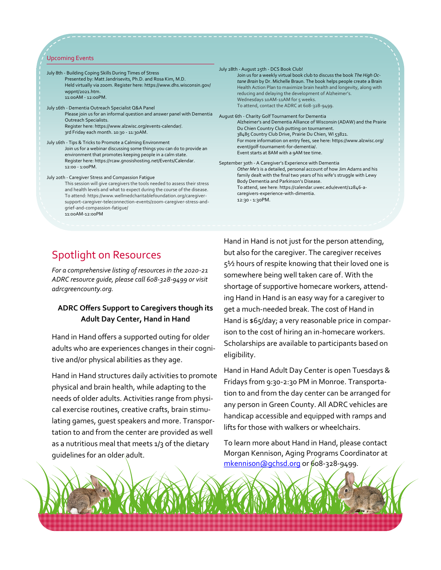#### Upcoming Events

July 8th - Building Coping Skills During Times of Stress Presented by: Matt Jandrisevits, Ph.D. and Rosa Kim, M.D. Held virtually via zoom. Register here: https://www.dhs.wisconsin.gov/ wppnt/2021.htm. 11:00AM - 12:ooPM. July 16th - Dementia Outreach Specialist Q&A Panel Please join us for an informal question and answer panel with Dementia Outreach Specialists. Register here: https://www.alzwisc.org/events-calendar/. 3rd Friday each month. 10:30 - 11:30AM. July 16th - Tips & Tricks to Promote a Calming Environment Join us for a webinar discussing some things you can do to provide an environment that promotes keeping people in a calm state. Register here: https://rcaw.gnosishosting.net/Events/Calendar. 12:00 - 1:00PM. July 20th - Caregiver Stress and Compassion Fatigue This session will give caregivers the tools needed to assess their stress and health levels and what to expect during the course of the disease. To attend: https://www.wellmedcharitablefoundation.org/caregiversupport-caregiver-teleconnection-events/zoom-caregiver-stress-andgrief-and-compassion-fatigue/ 11:00AM-12:00PM July 28th - August 25th - DCS Book Club! Join us for a weekly virtual book club to discuss the book *The High Octane Brain* by Dr. Michelle Braun. The book helps people create a Brain Health Action Plan to maximize brain health and longevity, along with reducing and delaying the development of Alzheimer's. Wednesdays 10AM-11AM for 5 weeks. To attend, contact the ADRC at 608-328-9499. August 6th - Charity Golf Tournament for Dementia Alzheimer's and Dementia Alliance of Wisconsin (ADAW) and the Prairie Du Chien Country Club putting on tournament. 38485 Country Club Drive, Prairie Du Chien, WI 53821. For more information on entry fees, see here: https://www.alzwisc.org/ event/golf-tournament-for-dementia/. Event starts at 8AM with a 9AM tee time. September 30th - A Caregiver's Experience with Dementia *Other Me's* is a detailed, personal account of how Jim Adams and his family dealt with the final two years of his wife's struggle with Lewy Body Dementia and Parkinson's Disease. To attend, see here: https://calendar.uwec.edu/event/12846-acaregivers-experience-with-dimentia. 12:30 - 1:30PM.

### Spotlight on Resources

*For a comprehensive listing of resources in the 2020-21 ADRC resource guide, please call 608-328-9499 or visit adrcgreencounty.org.*

#### **ADRC Offers Support to Caregivers though its Adult Day Center, Hand in Hand**

Hand in Hand offers a supported outing for older adults who are experiences changes in their cognitive and/or physical abilities as they age.

Hand in Hand structures daily activities to promote physical and brain health, while adapting to the needs of older adults. Activities range from physical exercise routines, creative crafts, brain stimulating games, guest speakers and more. Transportation to and from the center are provided as well as a nutritious meal that meets  $1/3$  of the dietary guidelines for an older adult.

Hand in Hand is not just for the person attending, but also for the caregiver. The caregiver receives 5½ hours of respite knowing that their loved one is somewhere being well taken care of. With the shortage of supportive homecare workers, attending Hand in Hand is an easy way for a caregiver to get a much-needed break. The cost of Hand in Hand is \$65/day; a very reasonable price in comparison to the cost of hiring an in-homecare workers. Scholarships are available to participants based on eligibility.

Hand in Hand Adult Day Center is open Tuesdays & Fridays from 9:30-2:30 PM in Monroe. Transportation to and from the day center can be arranged for any person in Green County. All ADRC vehicles are handicap accessible and equipped with ramps and lifts for those with walkers or wheelchairs.

To learn more about Hand in Hand, please contact Morgan Kennison, Aging Programs Coordinator at [mkennison@gchsd.org](mailto:mkennison@gchsd.org) or 608-328-9499.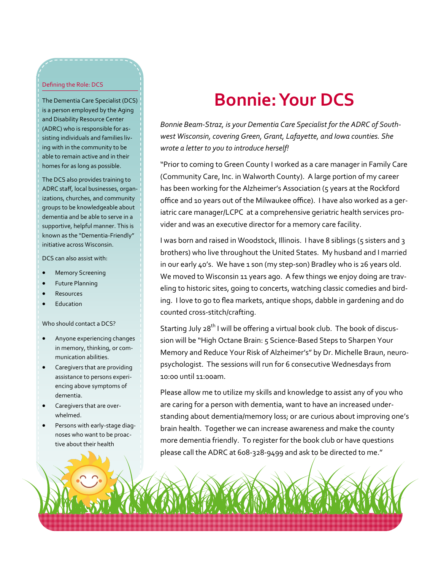#### Defining the Role: DCS

The Dementia Care Specialist (DCS) is a person employed by the Aging and Disability Resource Center (ADRC) who is responsible for assisting individuals and families living with in the community to be able to remain active and in their homes for as long as possible.

The DCS also provides training to ADRC staff, local businesses, organizations, churches, and community groups to be knowledgeable about dementia and be able to serve in a supportive, helpful manner. This is known as the "Dementia-Friendly" initiative across Wisconsin.

DCS can also assist with:

- **Memory Screening**
- Future Planning
- **Resources**
- **Education**

Who should contact a DCS?

- Anyone experiencing changes in memory, thinking, or communication abilities.
- Caregivers that are providing assistance to persons experiencing above symptoms of dementia.
- Caregivers that are overwhelmed.
- Persons with early-stage diagnoses who want to be proactive about their health

# **Bonnie: Your DCS**

*Bonnie Beam-Straz, is your Dementia Care Specialist for the ADRC of Southwest Wisconsin, covering Green, Grant, Lafayette, and Iowa counties. She wrote a letter to you to introduce herself!*

"Prior to coming to Green County I worked as a care manager in Family Care (Community Care, Inc. in Walworth County). A large portion of my career has been working for the Alzheimer's Association (5 years at the Rockford office and 10 years out of the Milwaukee office). I have also worked as a geriatric care manager/LCPC at a comprehensive geriatric health services provider and was an executive director for a memory care facility.

I was born and raised in Woodstock, Illinois. I have 8 siblings (5 sisters and 3 brothers) who live throughout the United States. My husband and I married in our early 40's. We have 1 son (my step-son) Bradley who is 26 years old. We moved to Wisconsin 11 years ago. A few things we enjoy doing are traveling to historic sites, going to concerts, watching classic comedies and birding. I love to go to flea markets, antique shops, dabble in gardening and do counted cross-stitch/crafting.

Starting July 28<sup>th</sup> I will be offering a virtual book club. The book of discussion will be "High Octane Brain: 5 Science-Based Steps to Sharpen Your Memory and Reduce Your Risk of Alzheimer's" by Dr. Michelle Braun, neuropsychologist. The sessions will run for 6 consecutive Wednesdays from 10:00 until 11:00am.

Please allow me to utilize my skills and knowledge to assist any of you who are caring for a person with dementia, want to have an increased understanding about dementia/memory loss; or are curious about improving one's brain health. Together we can increase awareness and make the county more dementia friendly. To register for the book club or have questions please call the ADRC at 608-328-9499 and ask to be directed to me."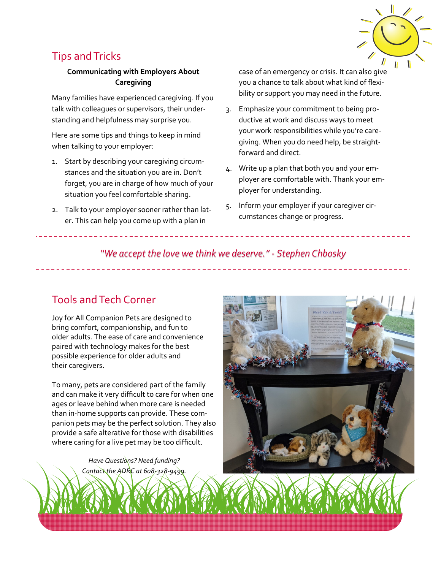

# Tips and Tricks

#### **Communicating with Employers About Caregiving**

Many families have experienced caregiving. If you talk with colleagues or supervisors, their understanding and helpfulness may surprise you.

Here are some tips and things to keep in mind when talking to your employer:

- 1. Start by describing your caregiving circumstances and the situation you are in. Don't forget, you are in charge of how much of your situation you feel comfortable sharing.
- 2. Talk to your employer sooner rather than later. This can help you come up with a plan in

case of an emergency or crisis. It can also give you a chance to talk about what kind of flexibility or support you may need in the future.

- 3. Emphasize your commitment to being productive at work and discuss ways to meet your work responsibilities while you're caregiving. When you do need help, be straightforward and direct.
- 4. Write up a plan that both you and your employer are comfortable with. Thank your employer for understanding.
- 5. Inform your employer if your caregiver circumstances change or progress.

### *"We accept the love we think we deserve." - Stephen Chbosky*

# Tools and Tech Corner

Joy for All Companion Pets are designed to bring comfort, companionship, and fun to older adults. The ease of care and convenience paired with technology makes for the best possible experience for older adults and their caregivers.

To many, pets are considered part of the family and can make it very difficult to care for when one ages or leave behind when more care is needed than in-home supports can provide. These companion pets may be the perfect solution. They also provide a safe alterative for those with disabilities where caring for a live pet may be too difficult.

> *Have Questions? Need funding? Contact the ADRC at 608-328-9499.*